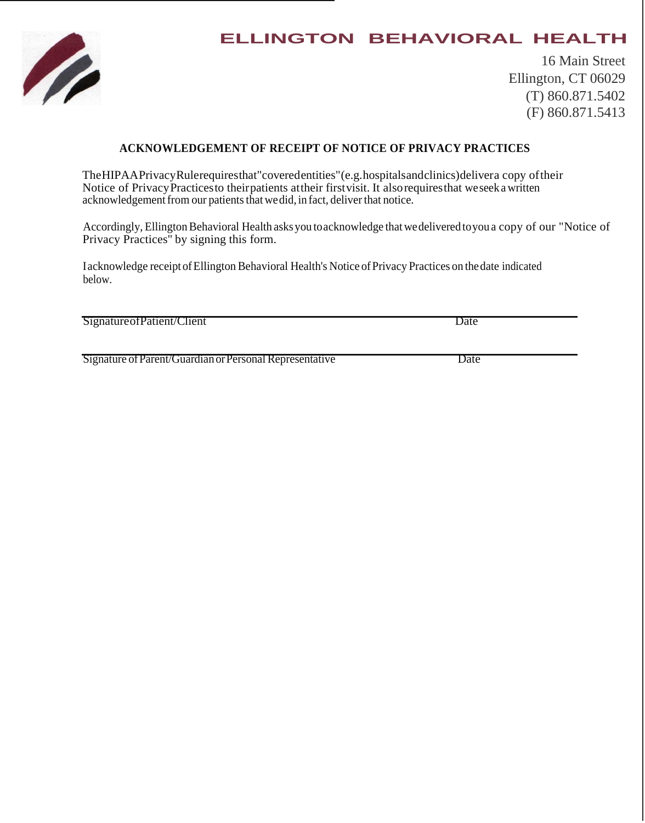## **ELLINGTON BEHAVIORAL HEALTH**



16 Main Street Ellington, CT 06029  $(T)$  860.871.5402  $(F)$  860.871.5413

## **ACKNOWLEDGEMENT OF RECEIPT OF NOTICE OF PRIVACY PRACTICES**

The HIPAAPrivacy Rulerequires that "covered entities" (e.g. hospitals and clinics) deliver a copy of their Notice of Privacy Practices to their patients at their first visit. It also requires that we seek a written acknowledgement from our patients that we did, in fact, deliver that notice.

Accordingly, Ellington Behavioral Health asks you to acknowledge that we delivered to you a copy of our "Notice of Privacy Practices" by signing this form.

Iacknowledge receipt of Ellington Behavioral Health's Notice of Privacy Practices on the date indicated below.

Signature of Patient/Client

Date

Signature of Parent/Guardian or Personal Representative

Date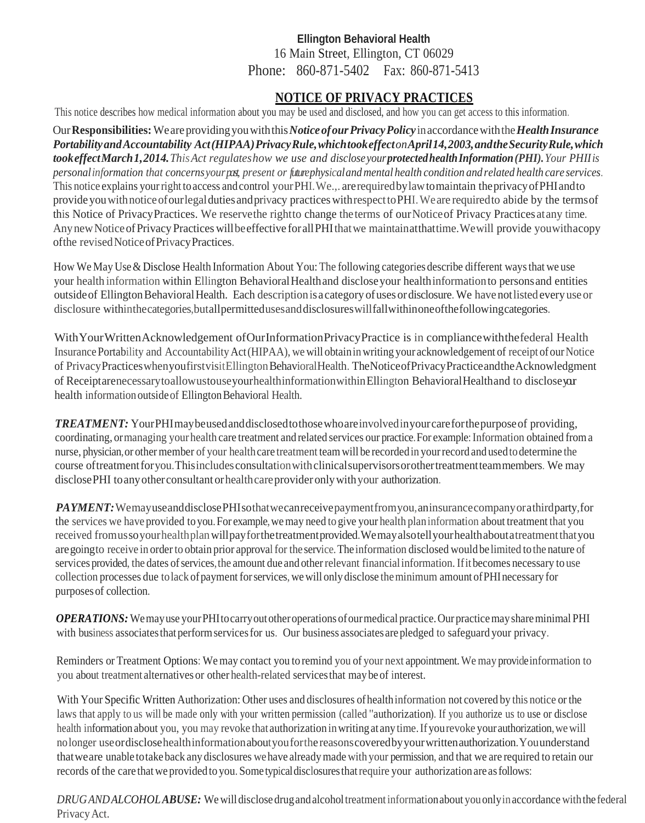## **Ellington Behavioral Health** 16 Main Street, Ellington, CT 06029 Phone: 860-871-5402 Fax: 860-871-5413

## **NOTICE OF PRIVACY PRACTICES**

This notice describes how medical information about you may be used and disclosed, and how you can get access to this information.

Our**Responsibilities:**Weareprovidingyouwiththis*NoticeofourPrivacyPolicy* inaccordancewiththe*HealthInsurance PortabilityandAccountability Act(HIPAA)PrivacyRule,whichtookeffectonApril14,2003,andtheSecurityRule,which tookeffectMarch1,2014.ThisAct regulateshow we use and discloseyourprotectedhealthInformation(PHI).Your PHIIis personalinformation that concernsyourpast, present or futurephysicalandmental health condition and related health care services.* This notice explains yourright toaccess andcontrol yourPHI.We.,. arerequiredbylawtomaintain theprivacyofPHIandto provideyouwithnoticeofourlegaldutiesandprivacy practiceswithrespecttoPHI.Weare requiredto abide by the termsof this Notice of PrivacyPractices. We reservethe rightto change theterms of ourNoticeof Privacy Practices atany time. AnynewNoticeofPrivacyPracticeswillbeeffective forallPHIthatwe maintainatthattime.Wewill provide youwithacopy ofthe revisedNoticeofPrivacyPractices.

How We May Use & Disclose Health Information About You: The following categories describe different ways that we use your health information within Ellington BehavioralHealthand discloseyour healthinformationto personsand entities outsideof EllingtonBehavioralHealth. Each descriptionisacategory ofuses ordisclosure.We havenotlistedevery use or disclosure withinthecategories,butallpermittedusesanddisclosureswillfallwithinoneofthefollowingcategories.

WithYourWrittenAcknowledgement ofOurInformationPrivacyPractice is in compliancewiththefederal Health Insurance Portability and Accountability Act (HIPAA), we will obtain in writing your acknowledgement of receipt of our Notice of PrivacyPracticeswhenyoufirstvisitEllingtonBehavioralHealth. TheNoticeofPrivacyPracticeandtheAcknowledgment of ReceiptarenecessarytoallowustouseyourhealthinformationwithinEllington BehavioralHealthand to discloseyour health information outside of Ellington Behavioral Health.

*TREATMENT:* YourPHImaybeusedanddisclosedtothosewhoareinvolvedinyourcareforthepurposeof providing, coordinating, ormanaging your health care treatment and related services our practice.For example:Information obtained froma nurse, physician,or othermember of your healthcare treatment teamwill be recordedin yourrecord and usedtodetermine the course of treatment for you. This includes consultation with clinical supervisors or other treatment team members. We may disclose PHI to any other consultant or health care provider only with your authorization.

*PAYMENT:*WemayuseanddisclosePHIsothatwecanreceivepaymentfromyou,aninsurancecompanyorathirdparty,for the services we have provided to you. For example, we may need to give your health plan information about treatment that you received fromussoyourhealthplanwillpayforthetreatmentprovided.Wemayalsotellyourhealthaboutatreatmentthatyou are going to receive in order to obtain prior approval for the service. The information disclosed would be limited to the nature of services provided, the dates of services, the amount due and other relevant financial information. If it becomes necessary to use collection processes due to lack of payment for services, we will only disclose the minimum amount of PHI necessary for purposes of collection.

*OPERATIONS:* We may use your PHI to carry out other operations of our medical practice. Our practice may share minimal PHI with business associates that perform services for us. Our business associates are pledged to safeguard your privacy.

Reminders or Treatment Options: We may contact you to remind you of your next appointment.We may provideinformation to you about treatment alternatives or other health-related services that may be of interest.

With Your Specific Written Authorization: Other uses and disclosures ofhealthinformation not covered by this notice or the laws that apply to us will be made only with your written permission (called "authorization). If you authorize us to use or disclose health information about you, you may revoke that authorization in writing at any time. If you revoke your authorization, we will nolonger useordisclosehealthinformationaboutyouforthereasonscoveredbyyourwrittenauthorization.Youunderstand thatweare unable totake back any disclosures wehave alreadymade with your permission, and that we are required to retain our records of the care that we providedto you. Some typicaldisclosuresthatrequire your authorizationare asfollows:

*DRUGANDALCOHOLABUSE:* Wewilldisclose drugandalcoholtreatmentinformationabout youonlyinaccordance withthe federal PrivacyAct.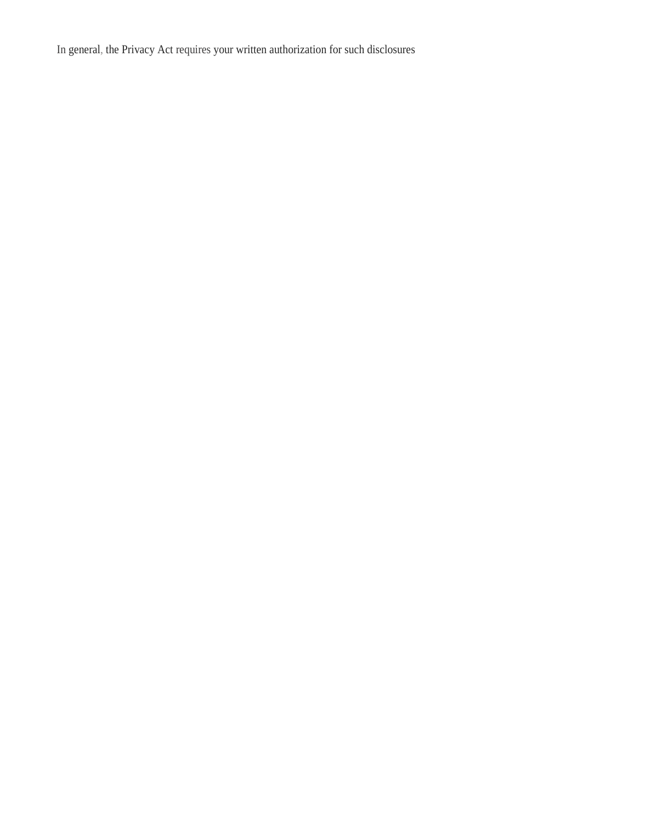In general, the Privacy Act requires your written authorization for such disclosures